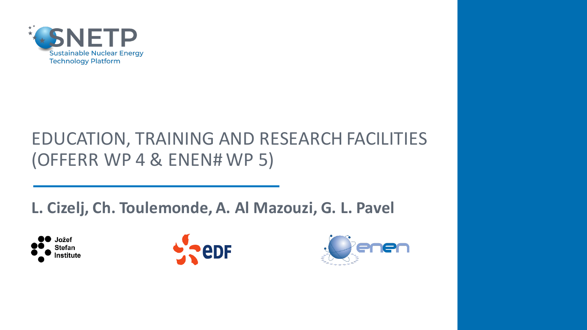

#### EDUCATION, TRAINING AND RESEARCH FACILITIES (OFFERR WP 4 & ENEN# WP 5)

#### **L. Cizelj, Ch. Toulemonde, A. Al Mazouzi, G. L. Pavel**





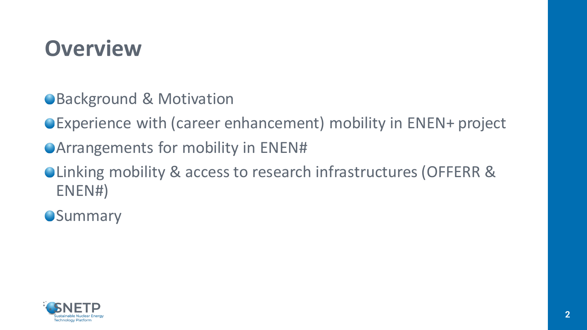#### **Overview**

- ●Background & Motivation
- Experience with (career enhancement) mobility in ENEN+ project
- Arrangements for mobility in ENEN#
- Linking mobility & access to research infrastructures (OFFERR & ENEN#)
- **OSummary**

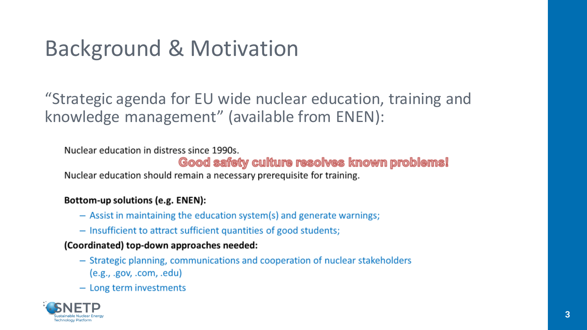# Background & Motivation

"Strategic agenda for EU wide nuclear education, training and knowledge management" (available from ENEN):

Nuclear education in distress since 1990s.

#### Good safety culture resolves known problems!

Nuclear education should remain a necessary prerequisite for training.

#### Bottom-up solutions (e.g. ENEN):

- $-$  Assist in maintaining the education system(s) and generate warnings;
- Insufficient to attract sufficient quantities of good students;

#### (Coordinated) top-down approaches needed:

- Strategic planning, communications and cooperation of nuclear stakeholders  $(e.g.,.gov,.com,.edu)$
- Long term investments

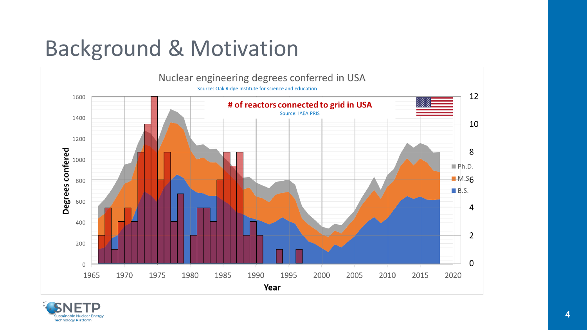## Background & Motivation



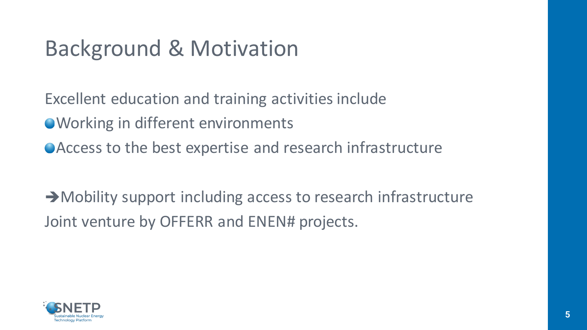### Background & Motivation

Excellent education and training activities include ● Working in different environments Access to the best expertise and research infrastructure

→ Mobility support including access to research infrastructure Joint venture by OFFERR and ENEN# projects.

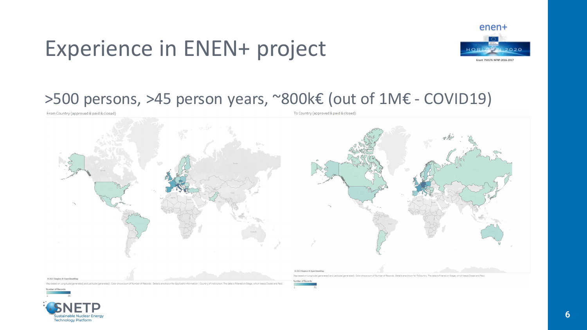

#### >500 persons, >45 person years, ~800k€ (out of 1M€ - COVID19)

From Country (approved & paid & closed)



ed) and Latitude (generated). Color shows sum of Number of Records. Details are shown for Applicant Information | Country of Institution. The data is filtered on Stage, which keeps Closed and Pa

To Country (approved & paid & closed)





**Technology Platform**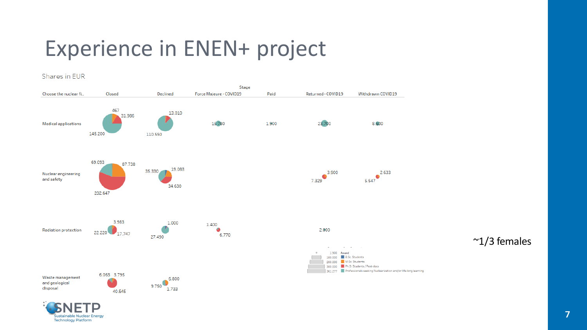#### Shares in EUR



 $\approx$ 1/3 females

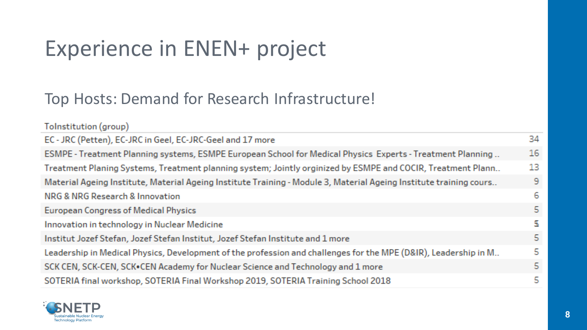**Contractor** 

#### Top Hosts: Demand for Research Infrastructure!

| Tolnstitution (group)                                                                                              |    |
|--------------------------------------------------------------------------------------------------------------------|----|
| EC - JRC (Petten), EC-JRC in Geel, EC-JRC-Geel and 17 more                                                         | 34 |
| ESMPE - Treatment Planning systems, ESMPE European School for Medical Physics Experts - Treatment Planning         | 16 |
| Treatment Planing Systems, Treatment planning system; Jointly orginized by ESMPE and COCIR, Treatment Plann        | 13 |
| Material Ageing Institute, Material Ageing Institute Training - Module 3, Material Ageing Institute training cours | -9 |
| NRG & NRG Research & Innovation                                                                                    | -6 |
| <b>European Congress of Medical Physics</b>                                                                        | 5. |
| Innovation in technology in Nuclear Medicine                                                                       | Ъ  |
| Institut Jozef Stefan, Jozef Stefan Institut, Jozef Stefan Institute and 1 more                                    | 5  |
| Leadership in Medical Physics, Development of the profession and challenges for the MPE (D&IR), Leadership in M    | 5  |
| SCK CEN, SCK-CEN, SCK•CEN Academy for Nuclear Science and Technology and 1 more                                    | 5. |
| SOTERIA final workshop, SOTERIA Final Workshop 2019, SOTERIA Training School 2018                                  | 5  |
|                                                                                                                    |    |

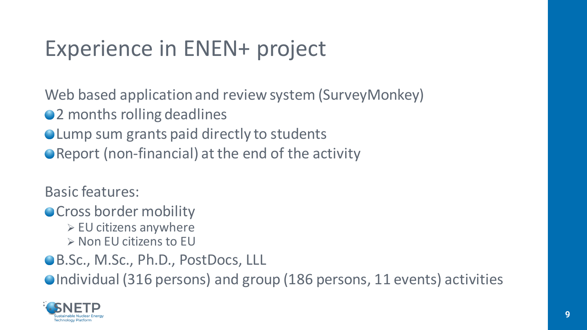Web based application and review system (SurveyMonkey)

- 2 months rolling deadlines
- Lump sum grants paid directly to students
- Report (non-financial) at the end of the activity

Basic features:

**OCross border mobility** 

- $\triangleright$  EU citizens anywhere
- $\triangleright$  Non EU citizens to EU
- ●B.Sc., M.Sc., Ph.D., PostDocs, LLL

●Individual (316 persons) and group (186 persons, 11 events) activities

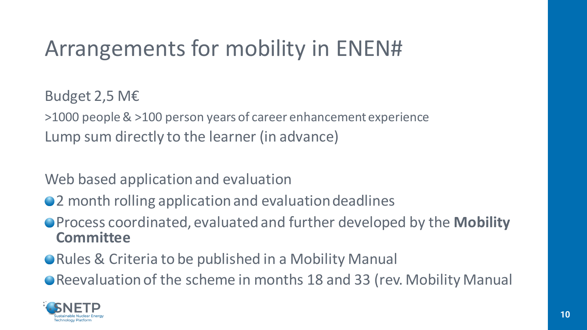Budget 2,5 M€

>1000 people & >100 person years of career enhancement experience Lump sum directly to the learner (in advance)

Web based application and evaluation

- 2 month rolling application and evaluation deadlines
- Process coordinated, evaluated and further developed by the **Mobility Committee**
- Rules & Criteria to be published in a Mobility Manual
- Reevaluation of the scheme in months 18 and 33 (rev. Mobility Manual

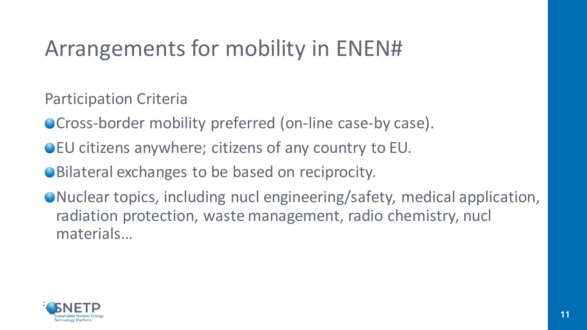Participation Criteria

- Cross-border mobility preferred (on-line case-by case).
- EU citizens anywhere; citizens of any country to EU.
- Bilateral exchanges to be based on reciprocity.
- Nuclear topics, including nucl engineering/safety, medical application, radiation protection, waste management, radio chemistry, nucl materials…

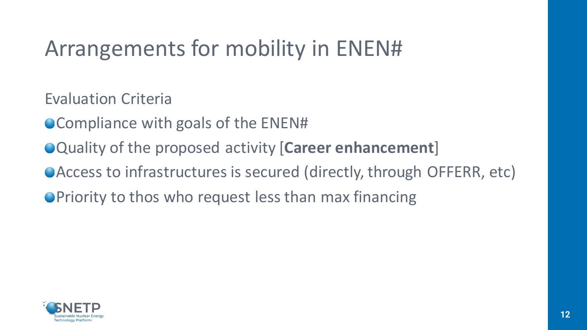Evaluation Criteria

- Compliance with goals of the ENEN#
- Quality of the proposed activity [**Career enhancement**]
- Access to infrastructures is secured (directly, through OFFERR, etc)
- **OPriority to thos who request less than max financing**

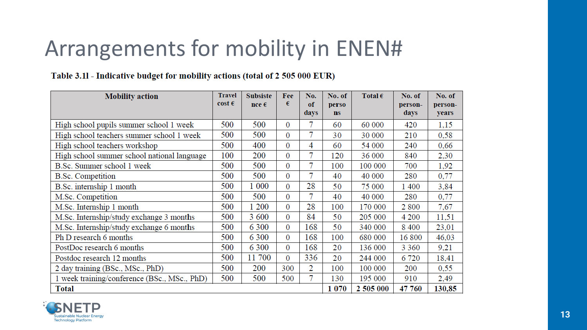#### Table 3.11 - Indicative budget for mobility actions (total of 2 505 000 EUR)

| <b>Mobility action</b>                       | <b>Travel</b><br>$\cos t \in$ | <b>Subsiste</b> | Fee<br>€       | No.        | No. of             | Total $\epsilon$ | No. of          | No. of           |
|----------------------------------------------|-------------------------------|-----------------|----------------|------------|--------------------|------------------|-----------------|------------------|
|                                              |                               | $nce \in$       |                | оf<br>days | perso<br><b>ns</b> |                  | person-<br>days | person-<br>years |
| High school pupils summer school 1 week      | 500                           | 500             | 0              | 7          | 60                 | 60 000           | 420             | 1,15             |
| High school teachers summer school 1 week    | 500                           | 500             | $\overline{0}$ | 7          | 30                 | 30 000           | 210             | 0,58             |
| High school teachers workshop                | 500                           | 400             | $\overline{0}$ | 4          | 60                 | 54 000           | 240             | 0,66             |
| High school summer school national language  | 100                           | 200             | $\overline{0}$ | 7          | 120                | 36 000           | 840             | 2,30             |
| B.Sc. Summer school 1 week                   | 500                           | 500             | $\overline{0}$ | 7          | 100                | 100 000          | 700             | 1,92             |
| <b>B.Sc.</b> Competition                     | 500                           | 500             | 0              | 7          | 40                 | 40 000           | 280             | 0,77             |
| B.Sc. internship 1 month                     | 500                           | 1 000           | $\overline{0}$ | 28         | 50                 | 75 000           | 1400            | 3,84             |
| M.Sc. Competition                            | 500                           | 500             | $\theta$       | 7          | 40                 | 40 000           | 280             | 0,77             |
| M.Sc. Internship 1 month                     | 500                           | 1 200           | $\Omega$       | 28         | 100                | 170 000          | 2800            | 7,67             |
| M.Sc. Internship/study exchange 3 months     | 500                           | 3 600           | 0              | 84         | 50                 | 205 000          | 4 200           | 11,51            |
| M.Sc. Internship/study exchange 6 months     | 500                           | 6 3 0 0         | $\overline{0}$ | 168        | 50                 | 340 000          | 8 4 0 0         | 23,01            |
| Ph D research 6 months                       | 500                           | 6 3 0 0         | $\Omega$       | 168        | 100                | 680 000          | 16 800          | 46,03            |
| PostDoc research 6 months                    | 500                           | 6 3 0 0         | $\overline{0}$ | 168        | 20                 | 136 000          | 3 3 6 0         | 9,21             |
| Postdoc research 12 months                   | 500                           | 11 700          | $\overline{0}$ | 336        | 20                 | 244 000          | 6720            | 18,41            |
| 2 day training (BSc., MSc., PhD)             | 500                           | 200             | 300            | 2          | 100                | 100 000          | 200             | 0,55             |
| 1 week training/conference (BSc., MSc., PhD) | 500                           | 500             | 500            | 7          | 130                | 195 000          | 910             | 2,49             |
| <b>Total</b>                                 |                               |                 |                |            | 1 0 7 0            | 2 505 000        | 47 760          | 130,85           |

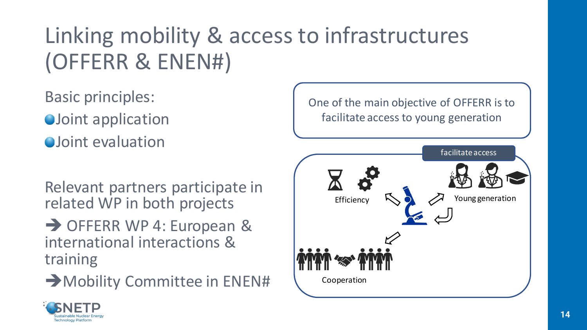# Linking mobility & access to infrastructures (OFFERR & ENEN#)

Basic principles:

- **OJoint application**
- **O**Joint evaluation

Relevant partners participate in related WP in both projects

→ OFFERR WP 4: European & international interactions & training

Mobility Committee in ENEN#



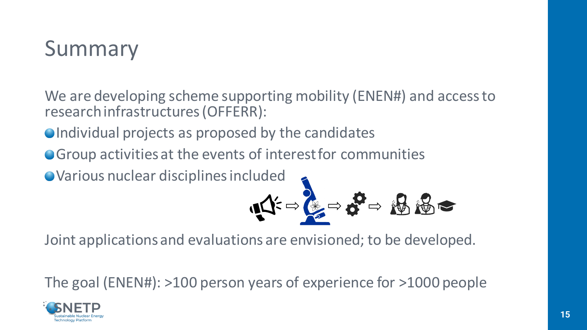#### Summary

We are developing scheme supporting mobility (ENEN#) and access to research infrastructures (OFFERR):

- $\bullet$  Individual projects as proposed by the candidates
- Group activities at the events of interest for communities

• Various nuclear disciplines included

$$
\mathbf{A} = \mathbf{A} = \mathbf{B}
$$

Joint applications and evaluations are envisioned; to be developed.

The goal (ENEN#): >100 person years of experience for >1000 people